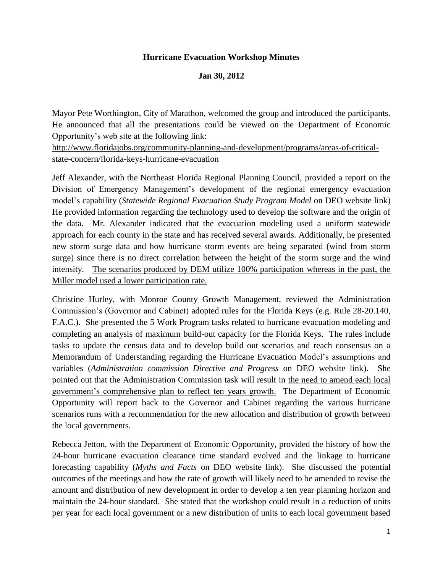### **Hurricane Evacuation Workshop Minutes**

#### **Jan 30, 2012**

Mayor Pete Worthington, City of Marathon, welcomed the group and introduced the participants. He announced that all the presentations could be viewed on the Department of Economic Opportunity's web site at the following link:

[http://www.floridajobs.org/community-planning-and-development/programs/areas-of-critical](http://www.floridajobs.org/community-planning-and-development/programs/areas-of-critical-state-concern/florida-keys-hurricane-evacuation)[state-concern/florida-keys-hurricane-evacuation](http://www.floridajobs.org/community-planning-and-development/programs/areas-of-critical-state-concern/florida-keys-hurricane-evacuation)

Jeff Alexander, with the Northeast Florida Regional Planning Council, provided a report on the Division of Emergency Management's development of the regional emergency evacuation model's capability (*Statewide Regional Evacuation Study Program Model* on DEO website link) He provided information regarding the technology used to develop the software and the origin of the data. Mr. Alexander indicated that the evacuation modeling used a uniform statewide approach for each county in the state and has received several awards. Additionally, he presented new storm surge data and how hurricane storm events are being separated (wind from storm surge) since there is no direct correlation between the height of the storm surge and the wind intensity. The scenarios produced by DEM utilize 100% participation whereas in the past, the Miller model used a lower participation rate.

Christine Hurley, with Monroe County Growth Management, reviewed the Administration Commission's (Governor and Cabinet) adopted rules for the Florida Keys (e.g. Rule 28-20.140, F.A.C.). She presented the 5 Work Program tasks related to hurricane evacuation modeling and completing an analysis of maximum build-out capacity for the Florida Keys. The rules include tasks to update the census data and to develop build out scenarios and reach consensus on a Memorandum of Understanding regarding the Hurricane Evacuation Model's assumptions and variables (*Administration commission Directive and Progress* on DEO website link). She pointed out that the Administration Commission task will result in the need to amend each local government's comprehensive plan to reflect ten years growth. The Department of Economic Opportunity will report back to the Governor and Cabinet regarding the various hurricane scenarios runs with a recommendation for the new allocation and distribution of growth between the local governments.

Rebecca Jetton, with the Department of Economic Opportunity, provided the history of how the 24-hour hurricane evacuation clearance time standard evolved and the linkage to hurricane forecasting capability (*Myths and Facts* on DEO website link). She discussed the potential outcomes of the meetings and how the rate of growth will likely need to be amended to revise the amount and distribution of new development in order to develop a ten year planning horizon and maintain the 24-hour standard. She stated that the workshop could result in a reduction of units per year for each local government or a new distribution of units to each local government based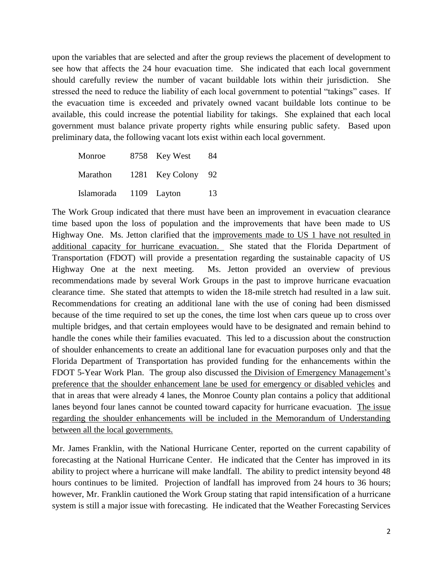upon the variables that are selected and after the group reviews the placement of development to see how that affects the 24 hour evacuation time. She indicated that each local government should carefully review the number of vacant buildable lots within their jurisdiction. She stressed the need to reduce the liability of each local government to potential "takings" cases. If the evacuation time is exceeded and privately owned vacant buildable lots continue to be available, this could increase the potential liability for takings. She explained that each local government must balance private property rights while ensuring public safety. Based upon preliminary data, the following vacant lots exist within each local government.

| Monroe     | 8758 Key West   | 84   |
|------------|-----------------|------|
| Marathon   | 1281 Key Colony | - 92 |
| Islamorada | 1109 Layton     | 13   |

The Work Group indicated that there must have been an improvement in evacuation clearance time based upon the loss of population and the improvements that have been made to US Highway One. Ms. Jetton clarified that the improvements made to US 1 have not resulted in additional capacity for hurricane evacuation. She stated that the Florida Department of Transportation (FDOT) will provide a presentation regarding the sustainable capacity of US Highway One at the next meeting. Ms. Jetton provided an overview of previous recommendations made by several Work Groups in the past to improve hurricane evacuation clearance time. She stated that attempts to widen the 18-mile stretch had resulted in a law suit. Recommendations for creating an additional lane with the use of coning had been dismissed because of the time required to set up the cones, the time lost when cars queue up to cross over multiple bridges, and that certain employees would have to be designated and remain behind to handle the cones while their families evacuated. This led to a discussion about the construction of shoulder enhancements to create an additional lane for evacuation purposes only and that the Florida Department of Transportation has provided funding for the enhancements within the FDOT 5-Year Work Plan. The group also discussed the Division of Emergency Management's preference that the shoulder enhancement lane be used for emergency or disabled vehicles and that in areas that were already 4 lanes, the Monroe County plan contains a policy that additional lanes beyond four lanes cannot be counted toward capacity for hurricane evacuation. The issue regarding the shoulder enhancements will be included in the Memorandum of Understanding between all the local governments.

Mr. James Franklin, with the National Hurricane Center, reported on the current capability of forecasting at the National Hurricane Center. He indicated that the Center has improved in its ability to project where a hurricane will make landfall. The ability to predict intensity beyond 48 hours continues to be limited. Projection of landfall has improved from 24 hours to 36 hours; however, Mr. Franklin cautioned the Work Group stating that rapid intensification of a hurricane system is still a major issue with forecasting. He indicated that the Weather Forecasting Services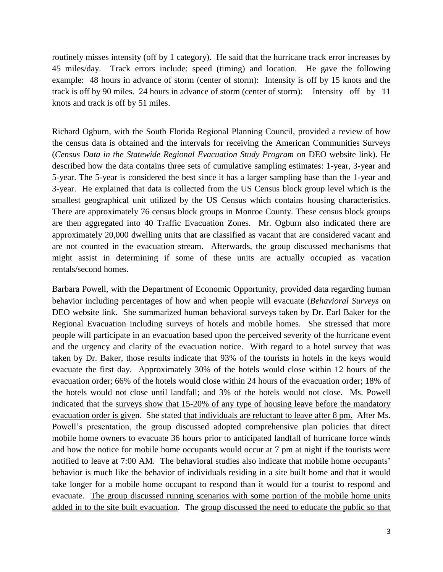routinely misses intensity (off by 1 category). He said that the hurricane track error increases by 45 miles/day. Track errors include: speed (timing) and location. He gave the following example: 48 hours in advance of storm (center of storm): Intensity is off by 15 knots and the track is off by 90 miles. 24 hours in advance of storm (center of storm): Intensity off by 11 knots and track is off by 51 miles.

Richard Ogburn, with the South Florida Regional Planning Council, provided a review of how the census data is obtained and the intervals for receiving the American Communities Surveys (*Census Data in the Statewide Regional Evacuation Study Program* on DEO website link). He described how the data contains three sets of cumulative sampling estimates: 1-year, 3-year and 5-year. The 5-year is considered the best since it has a larger sampling base than the 1-year and 3-year. He explained that data is collected from the US Census block group level which is the smallest geographical unit utilized by the US Census which contains housing characteristics. There are approximately 76 census block groups in Monroe County. These census block groups are then aggregated into 40 Traffic Evacuation Zones. Mr. Ogburn also indicated there are approximately 20,000 dwelling units that are classified as vacant that are considered vacant and are not counted in the evacuation stream. Afterwards, the group discussed mechanisms that might assist in determining if some of these units are actually occupied as vacation rentals/second homes.

Barbara Powell, with the Department of Economic Opportunity, provided data regarding human behavior including percentages of how and when people will evacuate (*Behavioral Surveys* on DEO website link. She summarized human behavioral surveys taken by Dr. Earl Baker for the Regional Evacuation including surveys of hotels and mobile homes. She stressed that more people will participate in an evacuation based upon the perceived severity of the hurricane event and the urgency and clarity of the evacuation notice. With regard to a hotel survey that was taken by Dr. Baker, those results indicate that 93% of the tourists in hotels in the keys would evacuate the first day. Approximately 30% of the hotels would close within 12 hours of the evacuation order; 66% of the hotels would close within 24 hours of the evacuation order; 18% of the hotels would not close until landfall; and 3% of the hotels would not close. Ms. Powell indicated that the surveys show that 15-20% of any type of housing leave before the mandatory evacuation order is given. She stated that individuals are reluctant to leave after 8 pm. After Ms. Powell's presentation, the group discussed adopted comprehensive plan policies that direct mobile home owners to evacuate 36 hours prior to anticipated landfall of hurricane force winds and how the notice for mobile home occupants would occur at 7 pm at night if the tourists were notified to leave at 7:00 AM. The behavioral studies also indicate that mobile home occupants' behavior is much like the behavior of individuals residing in a site built home and that it would take longer for a mobile home occupant to respond than it would for a tourist to respond and evacuate. The group discussed running scenarios with some portion of the mobile home units added in to the site built evacuation. The group discussed the need to educate the public so that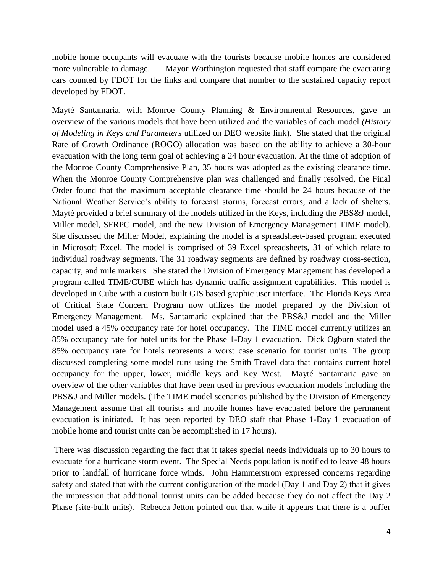mobile home occupants will evacuate with the tourists because mobile homes are considered more vulnerable to damage. Mayor Worthington requested that staff compare the evacuating cars counted by FDOT for the links and compare that number to the sustained capacity report developed by FDOT.

Mayté Santamaria, with Monroe County Planning & Environmental Resources, gave an overview of the various models that have been utilized and the variables of each model *(History of Modeling in Keys and Parameters* utilized on DEO website link). She stated that the original Rate of Growth Ordinance (ROGO) allocation was based on the ability to achieve a 30-hour evacuation with the long term goal of achieving a 24 hour evacuation. At the time of adoption of the Monroe County Comprehensive Plan, 35 hours was adopted as the existing clearance time. When the Monroe County Comprehensive plan was challenged and finally resolved, the Final Order found that the maximum acceptable clearance time should be 24 hours because of the National Weather Service's ability to forecast storms, forecast errors, and a lack of shelters. Mayté provided a brief summary of the models utilized in the Keys, including the PBS&J model, Miller model, SFRPC model, and the new Division of Emergency Management TIME model). She discussed the Miller Model, explaining the model is a spreadsheet-based program executed in Microsoft Excel. The model is comprised of 39 Excel spreadsheets, 31 of which relate to individual roadway segments. The 31 roadway segments are defined by roadway cross-section, capacity, and mile markers. She stated the Division of Emergency Management has developed a program called TIME/CUBE which has dynamic traffic assignment capabilities. This model is developed in Cube with a custom built GIS based graphic user interface. The Florida Keys Area of Critical State Concern Program now utilizes the model prepared by the Division of Emergency Management. Ms. Santamaria explained that the PBS&J model and the Miller model used a 45% occupancy rate for hotel occupancy. The TIME model currently utilizes an 85% occupancy rate for hotel units for the Phase 1-Day 1 evacuation. Dick Ogburn stated the 85% occupancy rate for hotels represents a worst case scenario for tourist units. The group discussed completing some model runs using the Smith Travel data that contains current hotel occupancy for the upper, lower, middle keys and Key West. Mayté Santamaria gave an overview of the other variables that have been used in previous evacuation models including the PBS&J and Miller models. (The TIME model scenarios published by the Division of Emergency Management assume that all tourists and mobile homes have evacuated before the permanent evacuation is initiated. It has been reported by DEO staff that Phase 1-Day 1 evacuation of mobile home and tourist units can be accomplished in 17 hours).

There was discussion regarding the fact that it takes special needs individuals up to 30 hours to evacuate for a hurricane storm event. The Special Needs population is notified to leave 48 hours prior to landfall of hurricane force winds. John Hammerstrom expressed concerns regarding safety and stated that with the current configuration of the model (Day 1 and Day 2) that it gives the impression that additional tourist units can be added because they do not affect the Day 2 Phase (site-built units). Rebecca Jetton pointed out that while it appears that there is a buffer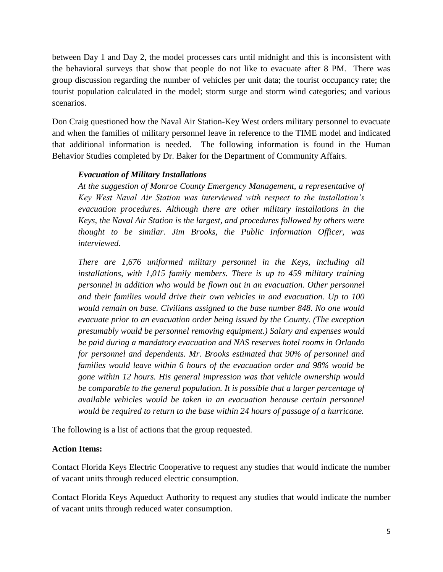between Day 1 and Day 2, the model processes cars until midnight and this is inconsistent with the behavioral surveys that show that people do not like to evacuate after 8 PM. There was group discussion regarding the number of vehicles per unit data; the tourist occupancy rate; the tourist population calculated in the model; storm surge and storm wind categories; and various scenarios.

Don Craig questioned how the Naval Air Station-Key West orders military personnel to evacuate and when the families of military personnel leave in reference to the TIME model and indicated that additional information is needed. The following information is found in the Human Behavior Studies completed by Dr. Baker for the Department of Community Affairs.

# *Evacuation of Military Installations*

*At the suggestion of Monroe County Emergency Management, a representative of Key West Naval Air Station was interviewed with respect to the installation's evacuation procedures. Although there are other military installations in the Keys, the Naval Air Station is the largest, and procedures followed by others were thought to be similar. Jim Brooks, the Public Information Officer, was interviewed.*

*There are 1,676 uniformed military personnel in the Keys, including all installations, with 1,015 family members. There is up to 459 military training personnel in addition who would be flown out in an evacuation. Other personnel and their families would drive their own vehicles in and evacuation. Up to 100 would remain on base. Civilians assigned to the base number 848. No one would evacuate prior to an evacuation order being issued by the County. (The exception presumably would be personnel removing equipment.) Salary and expenses would be paid during a mandatory evacuation and NAS reserves hotel rooms in Orlando for personnel and dependents. Mr. Brooks estimated that 90% of personnel and families would leave within 6 hours of the evacuation order and 98% would be gone within 12 hours. His general impression was that vehicle ownership would be comparable to the general population. It is possible that a larger percentage of available vehicles would be taken in an evacuation because certain personnel would be required to return to the base within 24 hours of passage of a hurricane.*

The following is a list of actions that the group requested.

## **Action Items:**

Contact Florida Keys Electric Cooperative to request any studies that would indicate the number of vacant units through reduced electric consumption.

Contact Florida Keys Aqueduct Authority to request any studies that would indicate the number of vacant units through reduced water consumption.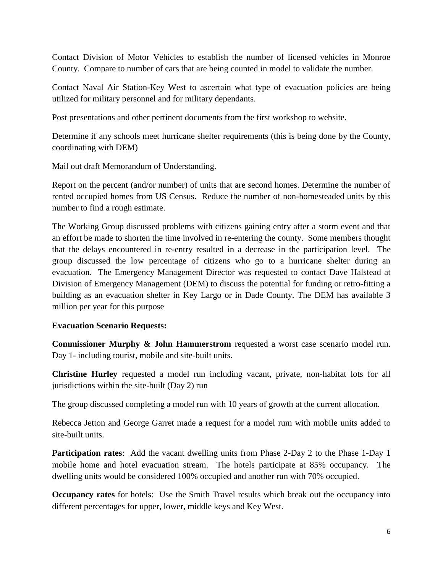Contact Division of Motor Vehicles to establish the number of licensed vehicles in Monroe County. Compare to number of cars that are being counted in model to validate the number.

Contact Naval Air Station-Key West to ascertain what type of evacuation policies are being utilized for military personnel and for military dependants.

Post presentations and other pertinent documents from the first workshop to website.

Determine if any schools meet hurricane shelter requirements (this is being done by the County, coordinating with DEM)

Mail out draft Memorandum of Understanding.

Report on the percent (and/or number) of units that are second homes. Determine the number of rented occupied homes from US Census. Reduce the number of non-homesteaded units by this number to find a rough estimate.

The Working Group discussed problems with citizens gaining entry after a storm event and that an effort be made to shorten the time involved in re-entering the county. Some members thought that the delays encountered in re-entry resulted in a decrease in the participation level. The group discussed the low percentage of citizens who go to a hurricane shelter during an evacuation. The Emergency Management Director was requested to contact Dave Halstead at Division of Emergency Management (DEM) to discuss the potential for funding or retro-fitting a building as an evacuation shelter in Key Largo or in Dade County. The DEM has available 3 million per year for this purpose

## **Evacuation Scenario Requests:**

**Commissioner Murphy & John Hammerstrom** requested a worst case scenario model run. Day 1- including tourist, mobile and site-built units.

**Christine Hurley** requested a model run including vacant, private, non-habitat lots for all jurisdictions within the site-built (Day 2) run

The group discussed completing a model run with 10 years of growth at the current allocation.

Rebecca Jetton and George Garret made a request for a model rum with mobile units added to site-built units.

**Participation rates:** Add the vacant dwelling units from Phase 2-Day 2 to the Phase 1-Day 1 mobile home and hotel evacuation stream. The hotels participate at 85% occupancy. The dwelling units would be considered 100% occupied and another run with 70% occupied.

**Occupancy rates** for hotels: Use the Smith Travel results which break out the occupancy into different percentages for upper, lower, middle keys and Key West.